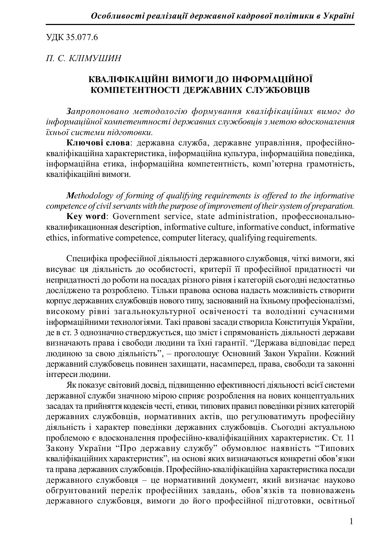ɍȾɄ 35.077.6

## **П. С. КЛІМУШИН**

## КВАЛІФІКАЦІЙНІ ВИМОГИ ДО ІНФОРМАЦІЙНОЇ КОМПЕТЕНТНОСТІ ЛЕРЖАВНИХ СЛУЖБОВШВ

Запропоновано методологію формування кваліфікаційних вимог до iнформаиiйної компетентності державних службови*ів* з метою вдосконалення  $i$ *хньої системи підготовки.* 

Ключові слова: державна служба, державне управління, професійнокваліфікаційна характеристика, інформаційна культура, інформаційна повелінка, інформаційна етика, інформаційна компетентність, комп'ютерна грамотність, кваліфікаційні вимоги.

*Methodology of forming of qualifying requirements is offered to the informative competence of civil servants with the purpose of improvement of their system of preparation.*

Key word: Government service, state administration, профессиональноɤɜɚɥɢɮɢɤɚɰɢɨɧɧɚɹ description, informative culture, informative conduct, informative ethics, informative competence, computer literacy, qualifying requirements.

Специфіка професійної діяльності державного службовця, чіткі вимоги, які висуває ця діяльність до особистості, критерії її професійної придатності чи непридатності до роботи на посадах різного рівня і категорій сьогодні недостатньо досліджено та розроблено. Тільки правова основа надасть можливість створити корпус державних службовців нового типу, заснований на їхньому професіоналізмі, високому рівні загальнокультурної освіченості та володінні сучасними інформаційними технологіями. Такі правові засади створила Конституція України, де в ст. 3 однозначно стверджується, що зміст і спрямованість діяльності держави визначають права і свободи людини та їхні гарантії. "Держава відповідає перед людиною за свою діяльність", – проголошує Основний Закон України. Кожний державний службовець повинен захищати, насамперед, права, свободи та законні інтереси людини.

Як показує світовий досвід, підвищенню ефективності діяльності всієї системи державної служби значною мірою сприяє розроблення на нових концептуальних засадах та прийняття кодексів честі, етики, типових правил поведінки різних категорій державних службовців, нормативних актів, що регулюватимуть професійну діяльність і характер поведінки державних службовців. Сьогодні актуальною проблемою є вдосконалення професійно-кваліфікаційних характеристик. Ст. 11 Закону України "Про державну службу" обумовлює наявність "Типових кваліфікаційних характеристик", на основі яких визначаються конкретні обов'язки та права державних службовців. Професійно-кваліфікаційна характеристика посади державного службовця – це нормативний документ, який визначає науково обтрунтований перелік професійних завдань, обов'язків та повноважень державного службовця, вимоги до його професійної підготовки, освітньої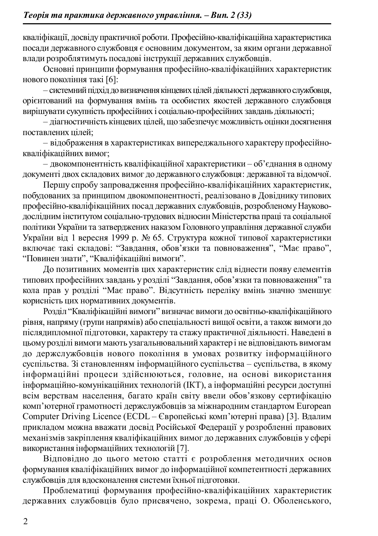кваліфікації, досвіду практичної роботи. Професійно-кваліфікаційна характеристика посади державного службовця є основним документом, за яким органи державної влади розроблятимуть посадові інструкції державних службовців.

Основні принципи формування професійно-кваліфікаційних характеристик нового покоління такі [6]:

– системний пілхіл до визначення кінцевих цілей діяльності державного службовця. **орієнтований на формування вмінь та особистих якостей державного службовця** вирішувати сукупність професійних і соціально-професійних завдань діяльності;

– діагностичність кінцевих цілей, що забезпечує можливість оцінки досягнення поставлених пілей:

– відображення в характеристиках випереджального характеру професійнокваліфікаційних вимог:

– двокомпонентність кваліфікаційної характеристики – об'єднання в одному документі двох складових вимог до державного службовця: державної та відомчої.

Першу спробу запровадження професійно-кваліфікаційних характеристик, побудованих за принципом двокомпонентності, реалізовано в Довіднику типових професійно-кваліфікаційних посал лержавних службовців, розробленому Науководослідним інститутом соціально-трудових відносин Міністерства праці та соціальної політики України та затверджених наказом Головного управління державної служби України від 1 вересня 1999 р. № 65. Структура кожної типової характеристики включає такі складові: "Завдання, обов'язки та повноваження", "Має право", "Повинен знати", "Кваліфікаційні вимоги".

До позитивних моментів цих характеристик слід віднести появу елементів типових професійних завдань у розділі "Завдання, обов'язки та повноваження" та кола прав у розділі "Має право". Відсутність переліку вмінь значно зменшує корисність цих нормативних документів.

Розділ "Кваліфікаційні вимоги" визначає вимоги до освітньо-кваліфікаційного рівня, напряму (групи напрямів) або спеціальності вищої освіти, а також вимоги до післядипломної підготовки, характеру та стажу практичної діяльності. Наведені в цьому розділі вимоги мають узагальнювальний характер і не відповідають вимогам до держслужбовців нового покоління в умовах розвитку інформаційного суспільства. Зі становленням інформаційного суспільства – суспільства, в якому інформаційні процеси здійснюються, головне, на основі використання інформаційно-комунікаційних технологій (ІКТ), а інформаційні ресурси доступні всім верствам населення. багато країн світу ввели обов'язкову сертифікацію комп'ютерної грамотності держслужбовців за міжнародним стандартом European Computer Driving Licence (ECDL – Європейські комп'ютерні права) [3]. Влалим прикладом можна вважати досвід Російської Федерації у розробленні правових механізмів закріплення кваліфікаційних вимог до державних службовців у сфері використання інформаційних технологій [7].

Відповідно до цього метою статті є розроблення методичних основ формування кваліфікаційних вимог до інформаційної компетентності державних службовців для вдосконалення системи їхньої підготовки.

Проблематиці формування професійно-кваліфікаційних характеристик державних службовців було присвячено, зокрема, праці О. Оболенського,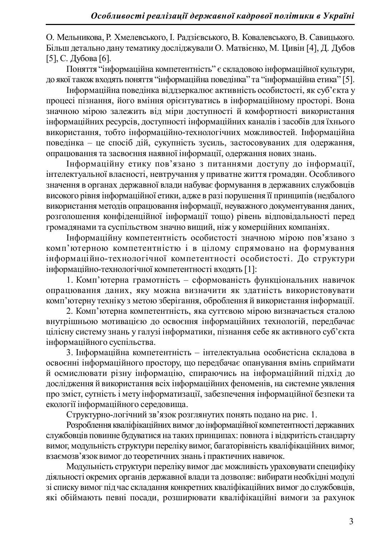О. Мельникова, Р. Хмелевського, І. Радзієвського, В. Ковалевського, В. Савицького. Більш детально дану тематику досліджували О. Матвієнко, М. Цивін [4], Д. Дубов [5], С. Дубова [6].

Поняття "інформаційна компетентність" є складовою інформаційної культури, до якої також входять поняття "інформаційна поведінка" та "інформаційна етика" [5].

Ни формаційна повелінка віллзеркалює активність особистості, як суб'єкта у процесі пізнання, його вміння орієнтуватись в інформаційному просторі. Вона эначною мірою залежить від міри доступності й комфортності використання інформаційних ресурсів, доступності інформаційних каналів і засобів для їхнього використання, тобто інформаційно-технологічних можливостей. Інформаційна поведінка – це спосіб дій, сукупність зусиль, застосовуваних для одержання, опрацювання та засвоєння наявної інформації, одержання нових знань,

Iнформаційну етику пов'язано з питаннями доступу до інформації, інтелектуальної власності, невтручання у приватне життя громадян. Особливого значення в органах державної влади набуває формування в державних службовців високого рівня інформаційної етики, адже в разі порушення її принципів (недбалого використання метолів опрацювання інформації, неуважного локументування ланих, розголошення конфіденційної інформації тощо) рівень відповідальності перед тромадянами та суспільством значно вищий, ніж у комерційних компаніях.

Iнформаційну компетентність особистості значною мірою пов'язано з комп'ютерною компетентністю і в цілому спрямовано на формування інформаційно-технологічної компетентності особистості. До структури інформаційно-технологічної компетентності входять [1]:

1. Комп'ютерна грамотність – сформованість функціональних навичок опрацювання даних, яку можна визначити як здатність використовувати комп'ютерну техніку з метою зберігання, оброблення й використання інформації.

2. Комп'ютерна компетентність, яка суттєвою мірою визначається сталою внутрішньою мотивацією до освоєння інформаційних технологій, передбачає цілісну систему знань у галузі інформатики, пізнання себе як активного суб'єкта інформаційного суспільства.

3. Інформаційна компетентність – інтелектуальна особистісна складова в освоєнні інформаційного простору, що передбачає опанування вмінь сприймати й осмислювати різну інформацію, спираючись на інформаційний підхід до дослідження й використання всіх інформаційних феноменів, на системне уявлення про зміст, сугність і мету інформатизації, забезпечення інформаційної безпеки та екології інформаційного середовища.

Структурно-логічний зв'язок розглянутих понять подано на рис. 1.

Розроблення кваліфікаційних вимог до інформаційної компетентності державних службовців повинне будуватися на таких принципах: повнота і відкритість стандарту вимог, модульність структури переліку вимог, багаторівність кваліфікаційних вимог, взаємозв'язок вимог до теоретичних знань і практичних навичок.

Молульність структури переліку вимог лає можливість ураховувати специфіку діяльності окремих органів державної влади та дозволяє: вибирати необхідні модулі зі списку вимог під час складання конкретних кваліфікаційних вимог до службовців, які обіймають певні посади, розширювати кваліфікаційні вимоги за рахунок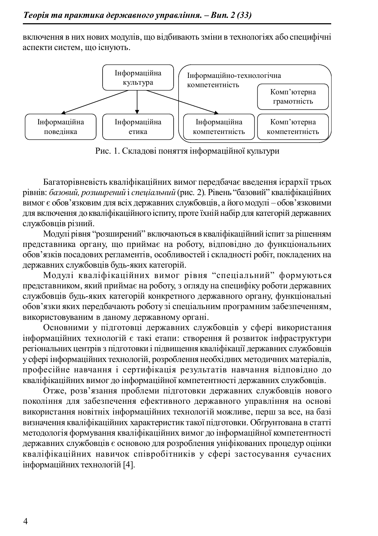включення в них нових модулів, що відбивають зміни в технологіях або специфічні аспекти систем, що існують.



Рис. 1. Складові поняття інформаційної культури

Багаторівневість кваліфікаційних вимог передбачає введення ієрархії трьох рівнів: *базовий, розширений і спеціальний* (рис. 2). Рівень "базовий" кваліфікаційних вимог є обов'язковим для всіх державних службовців, а його модулі – обов'язковими для включення до кваліфікаційного іспиту, проте їхній набір для категорій державних службовшів різний.

Модулі рівня "розширений" включаються в кваліфікаційний іспит за рішенням представника органу, що приймає на роботу, відповідно до функціональних обов'язків посадових регламентів, особливостей і складності робіт, покладених на державних службовців будь-яких категорій.

Модулі кваліфікаційних вимог рівня "спеціальний" формуються прелставником, який приймає на роботу, з оглялу на специфіку роботи лержавних службовців будь-яких категорій конкретного державного органу, функціональні обов'язки яких передбачають роботу зі спеціальним програмним забезпеченням, використовуваним в даному державному органі.

Основними у підготовці державних службовців у сфері використання інформаційних технологій є такі етапи: створення й розвиток інфраструктури регіональних центрів з підготовки і підвищення кваліфікації державних службовців у сфері інформаційних технологій, розроблення необхідних методичних матеріалів, професійне навчання і сертифікація результатів навчання відповідно до кваліфікаційних вимог до інформаційної компетентності державних службовців.

Отже, розв'язання проблеми підготовки державних службовців нового покоління для забезпечення ефективного державного управління на основі використання новітніх інформаційних технологій можливе, перш за все, на базі визначення кваліфікаційних характеристик такої підготовки. Обґрунтована в статті методологія формування кваліфікаційних вимог до інформаційної компетентності державних службовців є основою для розроблення уніфікованих процедур оцінки кваліфікаційних навичок співробітників у сфері застосування сучасних інформаційних технологій [4].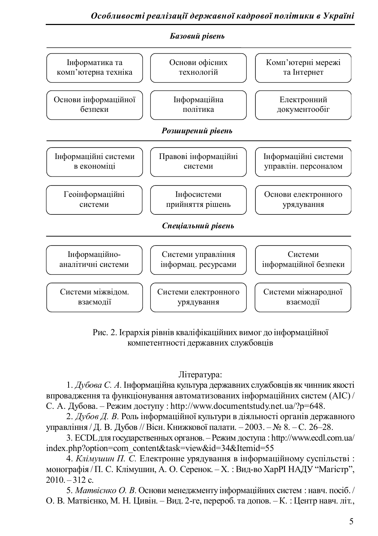

Рис. 2. Ієрархія рівнів кваліфікаційних вимог до інформаційної компетентності державних службовців

## Література:

1. *Дубова С. А*. Інформаційна культура державних службовців як чинник якості впровалження та функціонування автоматизованих інформаційних систем (AIC)/ С. А. Дубова. – Режим доступу:<http://www.documentstudy.net.ua/?p=648.>

2. *Дубов Д. В.* Роль інформаційної культури в діяльності органів державного управління / Д. В. Дубов // Вісн. Книжкової палати. – 2003. – № 8. – С. 26–28.

3. ECDL для государственных органов. – Режим доступа :<http://www.ecdl.com.ua/> index.php?option=com\_content&task=view&id=34&Itemid=55

4. *Клімушин П. С.* Електронне урядування в інформаційному суспільстві: монографія / П. С. Клімушин, А. О. Серенок. – Х.: Вид-во ХарРІ НАДУ "Магістр",  $2010 - 312$  c.

5. *Матвієнко О. В.* Основи менеджменту інформаційних систем: навч. посіб. / О. В. Матвієнко. М. Н. Шивін. – Вил. 2-ге. перероб. та лопов. – К.: Шентр навч. літ.,